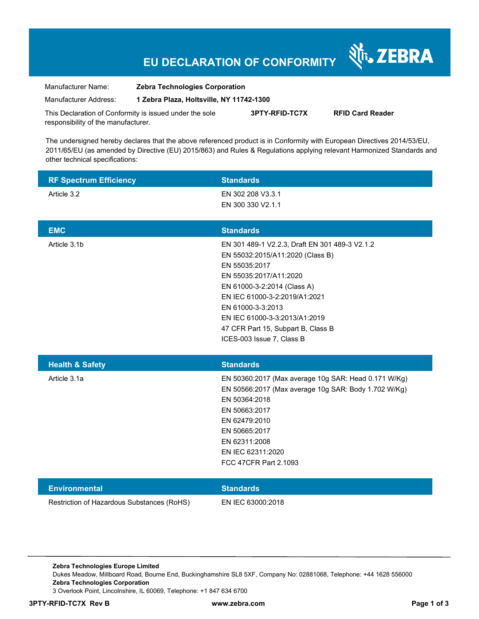### **EU DECLARATION OF CONFORMITY**

| Manufacturer Name:    | <b>Zebra Technologies Corporation</b>    |
|-----------------------|------------------------------------------|
| Manufacturer Address: | 1 Zebra Plaza, Holtsville, NY 11742-1300 |

This Declaration of Conformity is issued under the sole responsibility of the manufacturer. **3PTY-RFID-TC7X RFID Card Reader** 

The undersigned hereby declares that the above referenced product is in Conformity with European Directives 2014/53/EU, 2011/65/EU (as amended by Directive (EU) 2015/863) and Rules & Regulations applying relevant Harmonized Standards and other technical specifications:

| <b>RF Spectrum Efficiency</b>              | <b>Standards</b>                                                                                                                                                                                                                                                                                                       |
|--------------------------------------------|------------------------------------------------------------------------------------------------------------------------------------------------------------------------------------------------------------------------------------------------------------------------------------------------------------------------|
| Article 3.2                                | EN 302 208 V3.3.1<br>EN 300 330 V2.1.1                                                                                                                                                                                                                                                                                 |
| <b>EMC</b>                                 | <b>Standards</b>                                                                                                                                                                                                                                                                                                       |
| Article 3.1b                               | EN 301 489-1 V2.2.3, Draft EN 301 489-3 V2.1.2<br>EN 55032:2015/A11:2020 (Class B)<br>EN 55035:2017<br>EN 55035:2017/A11:2020<br>EN 61000-3-2:2014 (Class A)<br>EN IEC 61000-3-2:2019/A1:2021<br>EN 61000-3-3:2013<br>EN IEC 61000-3-3:2013/A1:2019<br>47 CFR Part 15, Subpart B, Class B<br>ICES-003 Issue 7, Class B |
| <b>Health &amp; Safety</b>                 | <b>Standards</b>                                                                                                                                                                                                                                                                                                       |
| Article 3.1a                               | EN 50360:2017 (Max average 10g SAR: Head 0.171 W/Kg)<br>EN 50566:2017 (Max average 10g SAR: Body 1.702 W/Kg)<br>EN 50364:2018<br>EN 50663:2017<br>EN 62479:2010<br>EN 50665:2017<br>EN 62311:2008<br>EN IEC 62311:2020<br>FCC 47CFR Part 2.1093                                                                        |
| <b>Environmental</b>                       | <b>Standards</b>                                                                                                                                                                                                                                                                                                       |
| Restriction of Hazardous Substances (RoHS) | EN IEC 63000:2018                                                                                                                                                                                                                                                                                                      |

**Zebra Technologies Europe Limited**  Dukes Meadow, Millboard Road, Bourne End, Buckinghamshire SL8 5XF, Company No: 02881068, Telephone: +44 1628 556000 **Zebra Technologies Corporation**  3 Overlook Point, Lincolnshire, IL 60069, Telephone: +1 847 634 6700

Nr. ZEBRA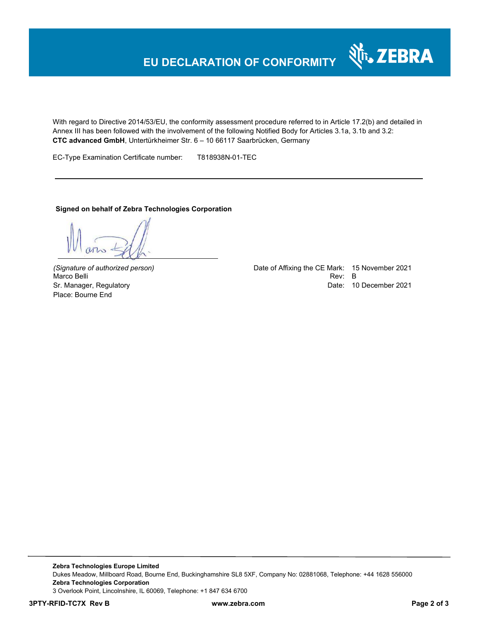# **EU DECLARATION OF CONFORMITY**

With regard to Directive 2014/53/EU, the conformity assessment procedure referred to in Article 17.2(b) and detailed in Annex III has been followed with the involvement of the following Notified Body for Articles 3.1a, 3.1b and 3.2: **CTC advanced GmbH**, Untertürkheimer Str. 6 – 10 66117 Saarbrücken, Germany

EC-Type Examination Certificate number: T818938N-01-TEC

#### **Signed on behalf of Zebra Technologies Corporation**

Place: Bourne End

*(Signature of authorized person)* Date of Affixing the CE Mark: 15 November 2021 Marco Belli Rev: B مساحة المستوى المستوى المستوى المستوى المستوى المستوى المستوى المستوى المستوى المستوى المستوى المستوى المستوى المستوى المستوى المستوى المستوى المستوى المستوى المستوى المستوى المستوى المستوى المستوى المست Sr. Manager, Regulatory Date: 10 December 2021

र्शे<sub>ि</sub> ZEBRA

**Zebra Technologies Europe Limited**  Dukes Meadow, Millboard Road, Bourne End, Buckinghamshire SL8 5XF, Company No: 02881068, Telephone: +44 1628 556000 **Zebra Technologies Corporation**  3 Overlook Point, Lincolnshire, IL 60069, Telephone: +1 847 634 6700